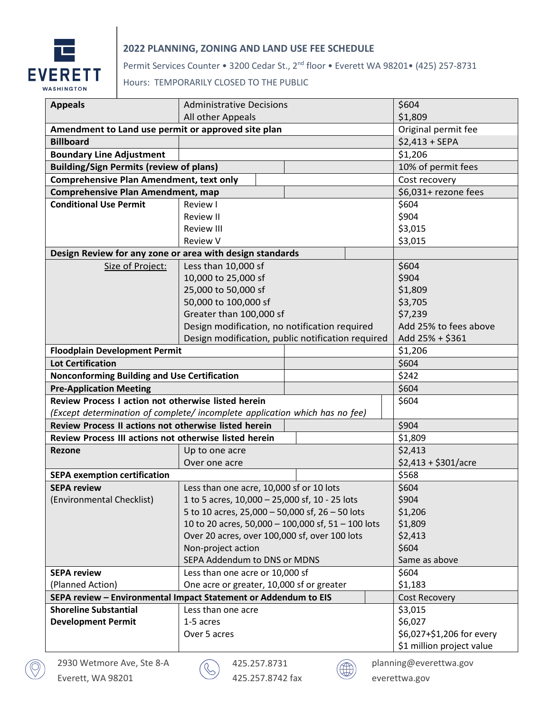

## **2022 PLANNING, ZONING AND LAND USE FEE SCHEDULE**

Permit Services Counter • 3200 Cedar St., 2<sup>nd</sup> floor • Everett WA 98201• (425) 257-8731

## Hours: TEMPORARILY CLOSED TO THE PUBLIC

| <b>Appeals</b>                                                              | <b>Administrative Decisions</b>                    | \$604                     |                       |                      |                           |
|-----------------------------------------------------------------------------|----------------------------------------------------|---------------------------|-----------------------|----------------------|---------------------------|
|                                                                             | All other Appeals                                  | \$1,809                   |                       |                      |                           |
| Amendment to Land use permit or approved site plan                          | Original permit fee                                |                           |                       |                      |                           |
| <b>Billboard</b>                                                            |                                                    | $$2,413 + SEPA$           |                       |                      |                           |
| <b>Boundary Line Adjustment</b>                                             |                                                    |                           |                       |                      | \$1,206                   |
| <b>Building/Sign Permits (review of plans)</b>                              | 10% of permit fees                                 |                           |                       |                      |                           |
| <b>Comprehensive Plan Amendment, text only</b>                              |                                                    |                           |                       | Cost recovery        |                           |
| <b>Comprehensive Plan Amendment, map</b>                                    |                                                    |                           |                       | \$6,031+ rezone fees |                           |
| <b>Conditional Use Permit</b>                                               | Review I                                           | \$604                     |                       |                      |                           |
|                                                                             | <b>Review II</b>                                   | \$904                     |                       |                      |                           |
|                                                                             | <b>Review III</b>                                  |                           | \$3,015               |                      |                           |
|                                                                             | <b>Review V</b>                                    |                           | \$3,015               |                      |                           |
| Design Review for any zone or area with design standards                    |                                                    |                           |                       |                      |                           |
| Size of Project:                                                            | Less than 10,000 sf                                |                           | \$604                 |                      |                           |
|                                                                             | 10,000 to 25,000 sf                                |                           | \$904                 |                      |                           |
|                                                                             | 25,000 to 50,000 sf                                |                           | \$1,809               |                      |                           |
|                                                                             | 50,000 to 100,000 sf                               |                           | \$3,705               |                      |                           |
|                                                                             | Greater than 100,000 sf                            |                           | \$7,239               |                      |                           |
|                                                                             | Design modification, no notification required      |                           | Add 25% to fees above |                      |                           |
|                                                                             | Design modification, public notification required  |                           | Add 25% + \$361       |                      |                           |
| <b>Floodplain Development Permit</b>                                        |                                                    |                           |                       | \$1,206              |                           |
| <b>Lot Certification</b>                                                    |                                                    |                           |                       |                      | \$604                     |
| <b>Nonconforming Building and Use Certification</b>                         |                                                    |                           |                       |                      | \$242                     |
| <b>Pre-Application Meeting</b>                                              |                                                    |                           |                       | \$604                |                           |
| Review Process I action not otherwise listed herein                         |                                                    |                           |                       | \$604                |                           |
| (Except determination of complete/ incomplete application which has no fee) |                                                    |                           |                       |                      |                           |
| Review Process II actions not otherwise listed herein                       |                                                    |                           |                       | \$904                |                           |
| Review Process III actions not otherwise listed herein                      |                                                    |                           |                       | \$1,809              |                           |
| <b>Rezone</b>                                                               | Up to one acre                                     | \$2,413                   |                       |                      |                           |
|                                                                             | Over one acre                                      |                           | $$2,413 + $301/acre$  |                      |                           |
| <b>SEPA exemption certification</b>                                         |                                                    | \$568                     |                       |                      |                           |
| <b>SEPA review</b>                                                          | Less than one acre, 10,000 sf or 10 lots           | \$604                     |                       |                      |                           |
| (Environmental Checklist)                                                   | 1 to 5 acres, 10,000 - 25,000 sf, 10 - 25 lots     | \$904                     |                       |                      |                           |
|                                                                             | 5 to 10 acres, 25,000 - 50,000 sf, 26 - 50 lots    |                           | \$1,206               |                      |                           |
|                                                                             | 10 to 20 acres, 50,000 - 100,000 sf, 51 - 100 lots |                           | \$1,809               |                      |                           |
|                                                                             | Over 20 acres, over 100,000 sf, over 100 lots      | \$2,413                   |                       |                      |                           |
|                                                                             | Non-project action                                 |                           | \$604                 |                      |                           |
|                                                                             | SEPA Addendum to DNS or MDNS                       | Same as above             |                       |                      |                           |
| <b>SEPA review</b>                                                          | Less than one acre or 10,000 sf                    | \$604                     |                       |                      |                           |
| (Planned Action)                                                            | One acre or greater, 10,000 sf or greater          | \$1,183                   |                       |                      |                           |
| SEPA review - Environmental Impact Statement or Addendum to EIS             |                                                    |                           |                       |                      | <b>Cost Recovery</b>      |
| <b>Shoreline Substantial</b>                                                | Less than one acre                                 | \$3,015                   |                       |                      |                           |
| <b>Development Permit</b>                                                   | 1-5 acres                                          | \$6,027                   |                       |                      |                           |
|                                                                             | Over 5 acres                                       | \$6,027+\$1,206 for every |                       |                      |                           |
|                                                                             |                                                    |                           |                       |                      | \$1 million project value |



 $\textcircled{\tiny{+}}$